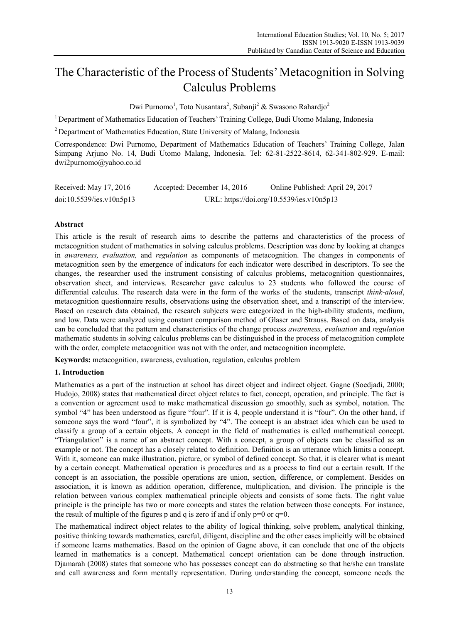# The Characteristic of the Process of Students' Metacognition in Solving Calculus Problems

Dwi Purnomo<sup>1</sup>, Toto Nusantara<sup>2</sup>, Subanji<sup>2</sup> & Swasono Rahardjo<sup>2</sup>

<sup>1</sup> Department of Mathematics Education of Teachers' Training College, Budi Utomo Malang, Indonesia

2 Department of Mathematics Education, State University of Malang, Indonesia

Correspondence: Dwi Purnomo, Department of Mathematics Education of Teachers' Training College, Jalan Simpang Arjuno No. 14, Budi Utomo Malang, Indonesia. Tel: 62-81-2522-8614, 62-341-802-929. E-mail: dwi2purnomo@yahoo.co.id

| Received: May 17, 2016   | Accepted: December 14, 2016 | Online Published: April 29, 2017          |
|--------------------------|-----------------------------|-------------------------------------------|
| doi:10.5539/ies.v10n5p13 |                             | URL: https://doi.org/10.5539/ies.v10n5p13 |

#### **Abstract**

This article is the result of research aims to describe the patterns and characteristics of the process of metacognition student of mathematics in solving calculus problems. Description was done by looking at changes in *awareness, evaluation,* and *regulation* as components of metacognition. The changes in components of metacognition seen by the emergence of indicators for each indicator were described in descriptors. To see the changes, the researcher used the instrument consisting of calculus problems, metacognition questionnaires, observation sheet, and interviews. Researcher gave calculus to 23 students who followed the course of differential calculus. The research data were in the form of the works of the students, transcript *think-aloud*, metacognition questionnaire results, observations using the observation sheet, and a transcript of the interview. Based on research data obtained, the research subjects were categorized in the high-ability students, medium, and low. Data were analyzed using constant comparison method of Glaser and Strauss. Based on data, analysis can be concluded that the pattern and characteristics of the change process *awareness, evaluation* and *regulation* mathematic students in solving calculus problems can be distinguished in the process of metacognition complete with the order, complete metacognition was not with the order, and metacognition incomplete.

**Keywords:** metacognition, awareness, evaluation, regulation, calculus problem

#### **1. Introduction**

Mathematics as a part of the instruction at school has direct object and indirect object. Gagne (Soedjadi, 2000; Hudojo, 2008) states that mathematical direct object relates to fact, concept, operation, and principle. The fact is a convention or agreement used to make mathematical discussion go smoothly, such as symbol, notation. The symbol "4" has been understood as figure "four". If it is 4, people understand it is "four". On the other hand, if someone says the word "four", it is symbolized by "4". The concept is an abstract idea which can be used to classify a group of a certain objects. A concept in the field of mathematics is called mathematical concept. "Triangulation" is a name of an abstract concept. With a concept, a group of objects can be classified as an example or not. The concept has a closely related to definition. Definition is an utterance which limits a concept. With it, someone can make illustration, picture, or symbol of defined concept. So that, it is clearer what is meant by a certain concept. Mathematical operation is procedures and as a process to find out a certain result. If the concept is an association, the possible operations are union, section, difference, or complement. Besides on association, it is known as addition operation, difference, multiplication, and division. The principle is the relation between various complex mathematical principle objects and consists of some facts. The right value principle is the principle has two or more concepts and states the relation between those concepts. For instance, the result of multiple of the figures p and q is zero if and if only  $p=0$  or  $q=0$ .

The mathematical indirect object relates to the ability of logical thinking, solve problem, analytical thinking, positive thinking towards mathematics, careful, diligent, discipline and the other cases implicitly will be obtained if someone learns mathematics. Based on the opinion of Gagne above, it can conclude that one of the objects learned in mathematics is a concept. Mathematical concept orientation can be done through instruction. Djamarah (2008) states that someone who has possesses concept can do abstracting so that he/she can translate and call awareness and form mentally representation. During understanding the concept, someone needs the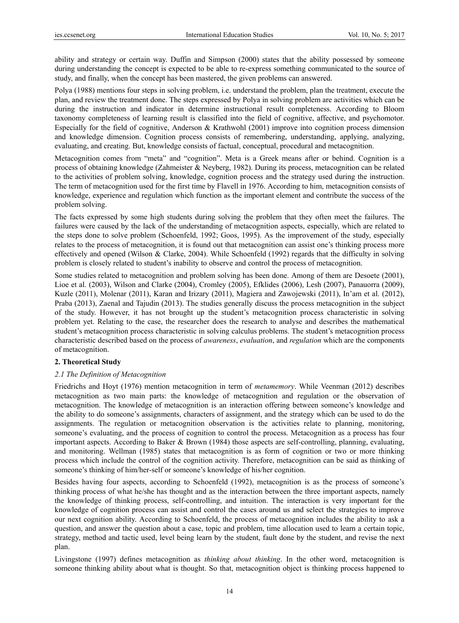ability and strategy or certain way. Duffin and Simpson (2000) states that the ability possessed by someone during understanding the concept is expected to be able to re-express something communicated to the source of study, and finally, when the concept has been mastered, the given problems can answered.

Polya (1988) mentions four steps in solving problem, i.e. understand the problem, plan the treatment, execute the plan, and review the treatment done. The steps expressed by Polya in solving problem are activities which can be during the instruction and indicator in determine instructional result completeness. According to Bloom taxonomy completeness of learning result is classified into the field of cognitive, affective, and psychomotor. Especially for the field of cognitive, Anderson & Krathwohl (2001) improve into cognition process dimension and knowledge dimension. Cognition process consists of remembering, understanding, applying, analyzing, evaluating, and creating. But, knowledge consists of factual, conceptual, procedural and metacognition.

Metacognition comes from "meta" and "cognition". Meta is a Greek means after or behind. Cognition is a process of obtaining knowledge (Zahmeister & Neyberg, 1982). During its process, metacognition can be related to the activities of problem solving, knowledge, cognition process and the strategy used during the instruction. The term of metacognition used for the first time by Flavell in 1976. According to him, metacognition consists of knowledge, experience and regulation which function as the important element and contribute the success of the problem solving.

The facts expressed by some high students during solving the problem that they often meet the failures. The failures were caused by the lack of the understanding of metacognition aspects, especially, which are related to the steps done to solve problem (Schoenfeld, 1992; Goos, 1995). As the improvement of the study, especially relates to the process of metacognition, it is found out that metacognition can assist one's thinking process more effectively and opened (Wilson & Clarke, 2004). While Schoenfeld (1992) regards that the difficulty in solving problem is closely related to student's inability to observe and control the process of metacognition.

Some studies related to metacognition and problem solving has been done. Among of them are Desoete (2001), Lioe et al. (2003), Wilson and Clarke (2004), Cromley (2005), Efklides (2006), Lesh (2007), Panauorra (2009), Kuzle (2011), Molenar (2011), Karan and Irizary (2011), Magiera and Zawojewski (2011), In'am et al. (2012), Praba (2013), Zaenal and Tajudin (2013). The studies generally discuss the process metacognition in the subject of the study. However, it has not brought up the student's metacognition process characteristic in solving problem yet. Relating to the case, the researcher does the research to analyse and describes the mathematical student's metacognition process characteristic in solving calculus problems. The student's metacognition process characteristic described based on the process of *awareness*, *evaluation*, and *regulation* which are the components of metacognition.

#### **2. Theoretical Study**

#### *2.1 The Definition of Metacognition*

Friedrichs and Hoyt (1976) mention metacognition in term of *metamemory*. While Veenman (2012) describes metacognition as two main parts: the knowledge of metacognition and regulation or the observation of metacognition. The knowledge of metacognition is an interaction offering between someone's knowledge and the ability to do someone's assignments, characters of assignment, and the strategy which can be used to do the assignments. The regulation or metacognition observation is the activities relate to planning, monitoring, someone's evaluating, and the process of cognition to control the process. Metacognition as a process has four important aspects. According to Baker & Brown (1984) those aspects are self-controlling, planning, evaluating, and monitoring. Wellman (1985) states that metacognition is as form of cognition or two or more thinking process which include the control of the cognition activity. Therefore, metacognition can be said as thinking of someone's thinking of him/her-self or someone's knowledge of his/her cognition.

Besides having four aspects, according to Schoenfeld (1992), metacognition is as the process of someone's thinking process of what he/she has thought and as the interaction between the three important aspects, namely the knowledge of thinking process, self-controlling, and intuition. The interaction is very important for the knowledge of cognition process can assist and control the cases around us and select the strategies to improve our next cognition ability. According to Schoenfeld, the process of metacognition includes the ability to ask a question, and answer the question about a case, topic and problem, time allocation used to learn a certain topic, strategy, method and tactic used, level being learn by the student, fault done by the student, and revise the next plan.

Livingstone (1997) defines metacognition as *thinking about thinking*. In the other word, metacognition is someone thinking ability about what is thought. So that, metacognition object is thinking process happened to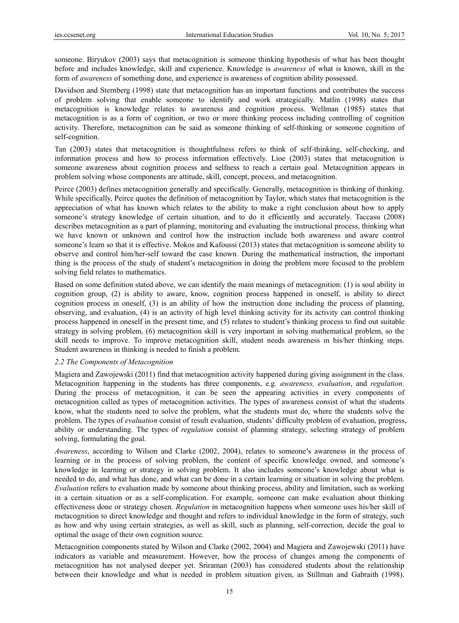someone. Biryukov (2003) says that metacognition is someone thinking hypothesis of what has been thought before and includes knowledge, skill and experience. Knowledge is *awareness* of what is known, skill in the form of *awareness* of something done, and experience is awareness of cognition ability possessed.

Davidson and Sternberg (1998) state that metacognition has an important functions and contributes the success of problem solving that enable someone to identify and work strategically. Matlin (1998) states that metacognition is knowledge relates to awareness and cognition process. Wellman (1985) states that metacognition is as a form of cognition, or two or more thinking process including controlling of cognition activity. Therefore, metacognition can be said as someone thinking of self-thinking or someone cognition of self-cognition.

Tan (2003) states that metacognition is thoughtfulness refers to think of self-thinking, self-checking, and information process and how to process information effectively. Lioe (2003) states that metacognition is someone awareness about cognition process and selfness to reach a certain goal. Metacognition appears in problem solving whose components are attitude, skill, concept, process, and metacognition.

Peirce (2003) defines metacognition generally and specifically. Generally, metacognition is thinking of thinking. While specifically, Peirce quotes the definition of metacognition by Taylor, which states that metacognition is the appreciation of what has known which relates to the ability to make a right conclusion about how to apply someone's strategy knowledge of certain situation, and to do it efficiently and accurately. Taccasu (2008) describes metacognition as a part of planning, monitoring and evaluating the instructional process, thinking what we have known or unknown and control how the instruction include both awareness and aware control someone's learn so that it is effective. Mokos and Kafoussi (2013) states that metacognition is someone ability to observe and control him/her-self toward the case known. During the mathematical instruction, the important thing is the process of the study of student's metacognition in doing the problem more focused to the problem solving field relates to mathematics.

Based on some definition stated above, we can identify the main meanings of metacognition: (1) is soul ability in cognition group, (2) is ability to aware, know, cognition process happened in oneself, is ability to direct cognition process in oneself, (3) is an ability of how the instruction done including the process of planning, observing, and evaluation, (4) is an activity of high level thinking activity for its activity can control thinking process happened in oneself in the present time, and (5) relates to student's thinking process to find out suitable strategy in solving problem, (6) metacognition skill is very important in solving mathematical problem, so the skill needs to improve. To improve metacognition skill, student needs awareness in his/her thinking steps. Student awareness in thinking is needed to finish a problem.

#### *2.2 The Components of Metacognition*

Magiera and Zawojewski (2011) find that metacognition activity happened during giving assignment in the class. Metacognition happening in the students has three components, e.g. *awareness, evaluation*, and *regulation*. During the process of metacognition, it can be seen the appearing activities in every components of metacognition called as types of metacognition activities. The types of awareness consist of what the students know, what the students need to solve the problem, what the students must do, where the students solve the problem. The types of *evaluation* consist of result evaluation, students' difficulty problem of evaluation, progress, ability or understanding. The types of *regulation* consist of planning strategy, selecting strategy of problem solving, formulating the goal.

*Awareness*, according to Wilson and Clarke (2002, 2004), relates to someone's awareness in the process of learning or in the process of solving problem, the content of specific knowledge owned, and someone's knowledge in learning or strategy in solving problem. It also includes someone's knowledge about what is needed to do, and what has done, and what can be done in a certain learning or situation in solving the problem. *Evaluation* refers to evaluation made by someone about thinking process, ability and limitation, such as working in a certain situation or as a self-complication. For example, someone can make evaluation about thinking effectiveness done or strategy chosen. *Regulation* in metacognition happens when someone uses his/her skill of metacognition to direct knowledge and thought and refers to individual knowledge in the form of strategy, such as how and why using certain strategies, as well as skill, such as planning, self-correction, decide the goal to optimal the usage of their own cognition source.

Metacognition components stated by Wilson and Clarke (2002, 2004) and Magiera and Zawojewski (2011) have indicators as variable and measurement. However, how the process of changes among the components of metacognition has not analysed deeper yet. Sriraman (2003) has considered students about the relationship between their knowledge and what is needed in problem situation given, as Stillman and Gabraith (1998).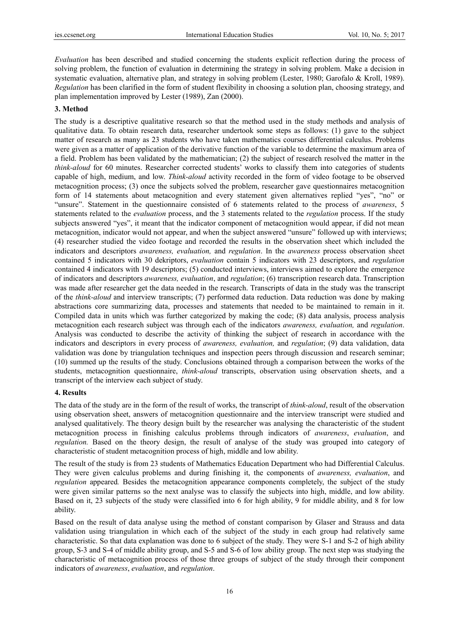*Evaluation* has been described and studied concerning the students explicit reflection during the process of solving problem, the function of evaluation in determining the strategy in solving problem. Make a decision in systematic evaluation, alternative plan, and strategy in solving problem (Lester, 1980; Garofalo & Kroll, 1989). *Regulation* has been clarified in the form of student flexibility in choosing a solution plan, choosing strategy, and plan implementation improved by Lester (1989), Zan (2000).

#### **3. Method**

The study is a descriptive qualitative research so that the method used in the study methods and analysis of qualitative data. To obtain research data, researcher undertook some steps as follows: (1) gave to the subject matter of research as many as 23 students who have taken mathematics courses differential calculus. Problems were given as a matter of application of the derivative function of the variable to determine the maximum area of a field. Problem has been validated by the mathematician; (2) the subject of research resolved the matter in the *think-aloud* for 60 minutes. Researcher corrected students' works to classify them into categories of students capable of high, medium, and low. *Think-aloud* activity recorded in the form of video footage to be observed metacognition process; (3) once the subjects solved the problem, researcher gave questionnaires metacognition form of 14 statements about metacognition and every statement given alternatives replied "yes", "no" or "unsure". Statement in the questionnaire consisted of 6 statements related to the process of *awareness*, 5 statements related to the *evaluation* process, and the 3 statements related to the *regulation* process. If the study subjects answered "yes", it meant that the indicator component of metacognition would appear, if did not mean metacognition, indicator would not appear, and when the subject answered "unsure" followed up with interviews; (4) researcher studied the video footage and recorded the results in the observation sheet which included the indicators and descriptors *awareness, evaluation,* and *regulation*. In the *awareness* process observation sheet contained 5 indicators with 30 dekriptors, *evaluation* contain 5 indicators with 23 descriptors, and *regulation* contained 4 indicators with 19 descriptors; (5) conducted interviews, interviews aimed to explore the emergence of indicators and descriptors *awareness, evaluation*, and *regulation*; (6) transcription research data. Transcription was made after researcher get the data needed in the research. Transcripts of data in the study was the transcript of the *think-aloud* and interview transcripts; (7) performed data reduction. Data reduction was done by making abstractions core summarizing data, processes and statements that needed to be maintained to remain in it. Compiled data in units which was further categorized by making the code; (8) data analysis, process analysis metacognition each research subject was through each of the indicators *awareness, evaluation,* and *regulation*. Analysis was conducted to describe the activity of thinking the subject of research in accordance with the indicators and descriptors in every process of *awareness, evaluation,* and *regulation*; (9) data validation, data validation was done by triangulation techniques and inspection peers through discussion and research seminar; (10) summed up the results of the study. Conclusions obtained through a comparison between the works of the students, metacognition questionnaire, *think-aloud* transcripts, observation using observation sheets, and a transcript of the interview each subject of study.

#### **4. Results**

The data of the study are in the form of the result of works, the transcript of *think-aloud*, result of the observation using observation sheet, answers of metacognition questionnaire and the interview transcript were studied and analysed qualitatively. The theory design built by the researcher was analysing the characteristic of the student metacognition process in finishing calculus problems through indicators of *awareness*, *evaluation*, and *regulation.* Based on the theory design, the result of analyse of the study was grouped into category of characteristic of student metacognition process of high, middle and low ability.

The result of the study is from 23 students of Mathematics Education Department who had Differential Calculus. They were given calculus problems and during finishing it, the components of *awareness, evaluation*, and *regulation* appeared*.* Besides the metacognition appearance components completely, the subject of the study were given similar patterns so the next analyse was to classify the subjects into high, middle, and low ability. Based on it, 23 subjects of the study were classified into 6 for high ability, 9 for middle ability, and 8 for low ability.

Based on the result of data analyse using the method of constant comparison by Glaser and Strauss and data validation using triangulation in which each of the subject of the study in each group had relatively same characteristic. So that data explanation was done to 6 subject of the study. They were S-1 and S-2 of high ability group, S-3 and S-4 of middle ability group, and S-5 and S-6 of low ability group. The next step was studying the characteristic of metacognition process of those three groups of subject of the study through their component indicators of *awareness*, *evaluation*, and *regulation*.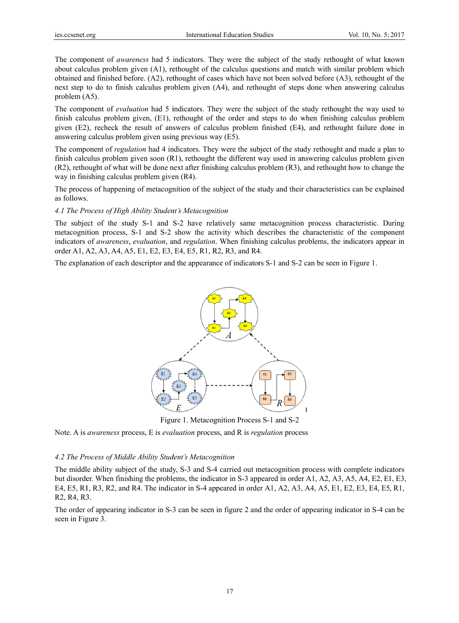The component of *awareness* had 5 indicators. They were the subject of the study rethought of what known about calculus problem given (A1), rethought of the calculus questions and match with similar problem which obtained and finished before.  $(A2)$ , rethought of cases which have not been solved before  $(A3)$ , rethought of the next step to do to finish calculus problem given (A4), and rethought of steps done when answering calculus problem (A5).

The component of *evaluation* had 5 indicators. They were the subject of the study rethought the way used to finish calculus problem given, (E1), rethought of the order and steps to do when finishing calculus problem given (E2), recheck the result of answers of calculus problem finished (E4), and rethought failure done in answering calculus problem given using previous way (E5).

The component of *regulation* had 4 indicators. They were the subject of the study rethought and made a plan to finish calculus problem given soon  $(R1)$ , rethought the different way used in answering calculus problem given (R2), rethought of what will be done next after finishing calculus problem (R3), and rethought how to change the way in finishing calculus problem given (R4).

The process of happening of metacognition of the subject of the study and their characteristics can be explained as follows.

#### 4.1 The Process of High Ability Student's Metacognition

The subject of the study S-1 and S-2 have relatively same metacognition process characteristic. During metacognition process. S-1 and S-2 show the activity which describes the characteristic of the component indicators of *awareness*, *evaluation*, and *regulation*. When finishing calculus problems, the indicators appear in order A1, A2, A3, A4, A5, E1, E2, E3, E4, E5, R1, R2, R3, and R4.

The explanation of each descriptor and the appearance of indicators S-1 and S-2 can be seen in Figure 1.



Figure 1. Metacognition Process S-1 and S-2

Note. A is awareness process, E is evaluation process, and R is regulation process

#### 4.2 The Process of Middle Ability Student's Metacognition

The middle ability subject of the study, S-3 and S-4 carried out metacognition process with complete indicators but disorder. When finishing the problems, the indicator in S-3 appeared in order A1, A2, A3, A5, A4, E2, E1, E3, E4, E5, R1, R3, R2, and R4. The indicator in S-4 appeared in order A1, A2, A3, A4, A5, E1, E2, E3, E4, E5, R1, R<sub>2</sub>, R<sub>4</sub>, R<sub>3</sub>.

The order of appearing indicator in S-3 can be seen in figure 2 and the order of appearing indicator in S-4 can be seen in Figure 3.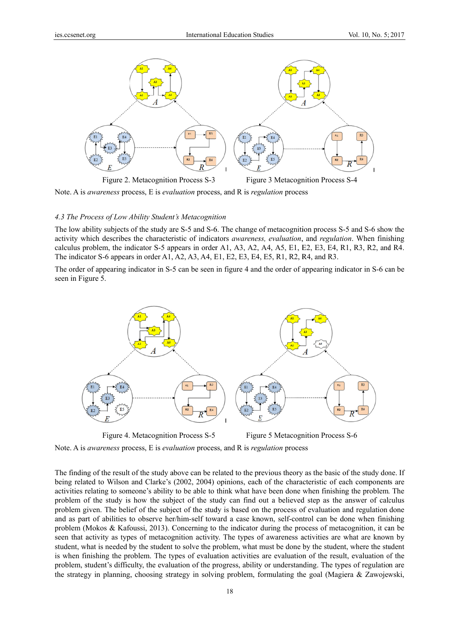

Note. A is *awareness* process, E is *evaluation* process, and R is *regulation* process

#### 4.3 The Process of Low Ability Student's Metacognition

The low ability subjects of the study are S-5 and S-6. The change of metacognition process S-5 and S-6 show the activity which describes the characteristic of indicators *awareness, evaluation*, and *regulation*. When finishing calculus problem, the indicator S-5 appears in order A1, A3, A2, A4, A5, E1, E2, E3, E4, R1, R3, R2, and R4. The indicator S-6 appears in order A1, A2, A3, A4, E1, E2, E3, E4, E5, R1, R2, R4, and R3.

The order of appearing indicator in S-5 can be seen in figure 4 and the order of appearing indicator in S-6 can be seen in Figure 5.



Figure 4. Metacognition Process S-5 Figure 5 Metacognition Process S-6

Note. A is *awareness* process, E is *evaluation* process, and R is *regulation* process

The finding of the result of the study above can be related to the previous theory as the basic of the study done. If being related to Wilson and Clarke's (2002, 2004) opinions, each of the characteristic of each components are activities relating to someone's ability to be able to think what have been done when finishing the problem. The problem of the study is how the subject of the study can find out a believed step as the answer of calculus problem given. The belief of the subject of the study is based on the process of evaluation and regulation done and as part of abilities to observe her/him-self toward a case known, self-control can be done when finishing problem (Mokos & Kafoussi, 2013). Concerning to the indicator during the process of metacognition, it can be seen that activity as types of metacognition activity. The types of awareness activities are what are known by student, what is needed by the student to solve the problem, what must be done by the student, where the student is when finishing the problem. The types of evaluation activities are evaluation of the result, evaluation of the problem, student's difficulty, the evaluation of the progress, ability or understanding. The types of regulation are the strategy in planning, choosing strategy in solving problem, formulating the goal (Magiera & Zawojewski,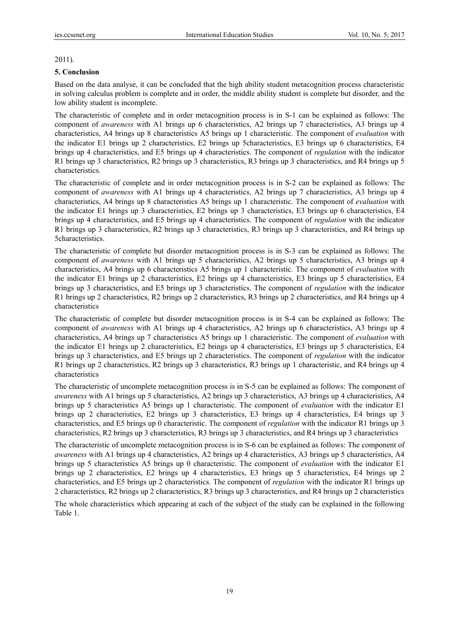#### 2011).

#### **5. Conclusion**

Based on the data analyse, it can be concluded that the high ability student metacognition process characteristic in solving calculus problem is complete and in order, the middle ability student is complete but disorder, and the low ability student is incomplete.

The characteristic of complete and in order metacognition process is in S-1 can be explained as follows: The component of *awareness* with A1 brings up 6 characteristics, A2 brings up 7 characteristics, A3 brings up 4 characteristics, A4 brings up 8 characteristics A5 brings up 1 characteristic. The component of *evaluation* with the indicator E1 brings up 2 characteristics, E2 brings up 5characteristics, E3 brings up 6 characteristics, E4 brings up 4 characteristics, and E5 brings up 4 characteristics. The component of *regulation* with the indicator R1 brings up 3 characteristics, R2 brings up 3 characteristics, R3 brings up 3 characteristics, and R4 brings up 5 characteristics.

The characteristic of complete and in order metacognition process is in S-2 can be explained as follows: The component of *awareness* with A1 brings up 4 characteristics, A2 brings up 7 characteristics, A3 brings up 4 characteristics, A4 brings up 8 characteristics A5 brings up 1 characteristic. The component of *evaluation* with the indicator E1 brings up 3 characteristics, E2 brings up 3 characteristics, E3 brings up 6 characteristics, E4 brings up 4 characteristics, and E5 brings up 4 characteristics. The component of *regulation* with the indicator R1 brings up 3 characteristics, R2 brings up 3 characteristics, R3 brings up 3 characteristics, and R4 brings up 5characteristics.

The characteristic of complete but disorder metacognition process is in S-3 can be explained as follows: The component of *awareness* with A1 brings up 5 characteristics, A2 brings up 5 characteristics, A3 brings up 4 characteristics, A4 brings up 6 characteristics A5 brings up 1 characteristic. The component of *evaluation* with the indicator E1 brings up 2 characteristics, E2 brings up 4 characteristics, E3 brings up 5 characteristics, E4 brings up 3 characteristics, and E5 brings up 3 characteristics. The component of *regulation* with the indicator R1 brings up 2 characteristics, R2 brings up 2 characteristics, R3 brings up 2 characteristics, and R4 brings up 4 characteristics

The characteristic of complete but disorder metacognition process is in S-4 can be explained as follows: The component of *awareness* with A1 brings up 4 characteristics, A2 brings up 6 characteristics, A3 brings up 4 characteristics, A4 brings up 7 characteristics A5 brings up 1 characteristic. The component of *evaluation* with the indicator E1 brings up 2 characteristics, E2 brings up 4 characteristics, E3 brings up 5 characteristics, E4 brings up 3 characteristics, and E5 brings up 2 characteristics. The component of *regulation* with the indicator R1 brings up 2 characteristics, R2 brings up 3 characteristics, R3 brings up 1 characteristic, and R4 brings up 4 characteristics

The characteristic of uncomplete metacognition process is in S-5 can be explained as follows: The component of *awareness* with A1 brings up 5 characteristics, A2 brings up 3 characteristics, A3 brings up 4 characteristics, A4 brings up 5 characteristics A5 brings up 1 characteristic. The component of *evaluation* with the indicator E1 brings up 2 characteristics, E2 brings up 3 characteristics, E3 brings up 4 characteristics, E4 brings up 3 characteristics, and E5 brings up 0 characteristic. The component of *regulation* with the indicator R1 brings up 3 characteristics, R2 brings up 3 characteristics, R3 brings up 3 characteristics, and R4 brings up 3 characteristics

The characteristic of uncomplete metacognition process is in S-6 can be explained as follows: The component of *awareness* with A1 brings up 4 characteristics, A2 brings up 4 characteristics, A3 brings up 5 characteristics, A4 brings up 5 characteristics A5 brings up 0 characteristic. The component of *evaluation* with the indicator E1 brings up 2 characteristics, E2 brings up 4 characteristics, E3 brings up 5 characteristics, E4 brings up 2 characteristics, and E5 brings up 2 characteristics. The component of *regulation* with the indicator R1 brings up 2 characteristics, R2 brings up 2 characteristics, R3 brings up 3 characteristics, and R4 brings up 2 characteristics

The whole characteristics which appearing at each of the subject of the study can be explained in the following Table 1.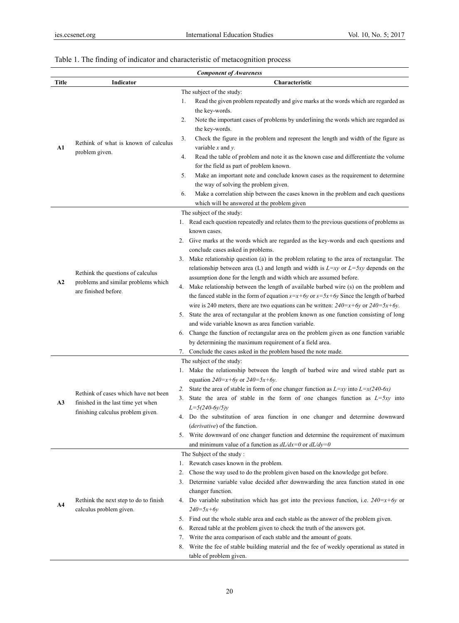|       | <b>Component of Awareness</b>                                                                                   |                                                                                                                                                                                                                                                                                                                                                                                                                                                                                                                                                                                                                                                                                                                                                                                                                                                                                                                                                                                                                                                                                                                                                                                                    |  |  |
|-------|-----------------------------------------------------------------------------------------------------------------|----------------------------------------------------------------------------------------------------------------------------------------------------------------------------------------------------------------------------------------------------------------------------------------------------------------------------------------------------------------------------------------------------------------------------------------------------------------------------------------------------------------------------------------------------------------------------------------------------------------------------------------------------------------------------------------------------------------------------------------------------------------------------------------------------------------------------------------------------------------------------------------------------------------------------------------------------------------------------------------------------------------------------------------------------------------------------------------------------------------------------------------------------------------------------------------------------|--|--|
| Title | Indicator                                                                                                       | Characteristic                                                                                                                                                                                                                                                                                                                                                                                                                                                                                                                                                                                                                                                                                                                                                                                                                                                                                                                                                                                                                                                                                                                                                                                     |  |  |
| A1    | Rethink of what is known of calculus<br>problem given.                                                          | The subject of the study:<br>Read the given problem repeatedly and give marks at the words which are regarded as<br>1.<br>the key-words.<br>Note the important cases of problems by underlining the words which are regarded as<br>2.<br>the key-words.<br>3.<br>Check the figure in the problem and represent the length and width of the figure as<br>variable $x$ and $y$ .<br>Read the table of problem and note it as the known case and differentiate the volume<br>4.<br>for the field as part of problem known.<br>Make an important note and conclude known cases as the requirement to determine<br>5.<br>the way of solving the problem given.<br>Make a correlation ship between the cases known in the problem and each questions<br>6.<br>which will be answered at the problem given                                                                                                                                                                                                                                                                                                                                                                                                |  |  |
| A2    | Rethink the questions of calculus<br>problems and similar problems which<br>are finished before.                | The subject of the study:<br>1. Read each question repeatedly and relates them to the previous questions of problems as<br>known cases.<br>2. Give marks at the words which are regarded as the key-words and each questions and<br>conclude cases asked in problems.<br>3. Make relationship question (a) in the problem relating to the area of rectangular. The<br>relationship between area (L) and length and width is $L=xy$ or $L=5xy$ depends on the<br>assumption done for the length and width which are assumed before.<br>4. Make relationship between the length of available barbed wire (s) on the problem and<br>the fanced stable in the form of equation $s=x+6y$ or $s=5x+6y$ Since the length of barbed<br>wire is 240 meters, there are two equations can be written: $240=x+6y$ or $240=5x+6y$ .<br>5. State the area of rectangular at the problem known as one function consisting of long<br>and wide variable known as area function variable.<br>6. Change the function of rectangular area on the problem given as one function variable<br>by determining the maximum requirement of a field area.<br>7. Conclude the cases asked in the problem based the note made. |  |  |
| A3    | Rethink of cases which have not been<br>finished in the last time yet when<br>finishing calculus problem given. | The subject of the study:<br>1. Make the relationship between the length of barbed wire and wired stable part as<br>equation $240 = x+6y$ or $240 = 5x+6y$ .<br>2. State the area of stable in form of one changer function as $L=xy$ into $L=x(240-6x)$<br>State the area of stable in the form of one changes function as $L=5xy$ into<br>3.<br>$L = 5(240-6y/5)y$<br>Do the substitution of area function in one changer and determine downward<br>(derivative) of the function.<br>5. Write downward of one changer function and determine the requirement of maximum<br>and minimum value of a function as $dL/dx=0$ or $dL/dy=0$                                                                                                                                                                                                                                                                                                                                                                                                                                                                                                                                                             |  |  |
| A4    | Rethink the next step to do to finish<br>calculus problem given.                                                | The Subject of the study:<br>1. Rewatch cases known in the problem.<br>Chose the way used to do the problem given based on the knowledge got before.<br>2.<br>3. Determine variable value decided after downwarding the area function stated in one<br>changer function.<br>4. Do variable substitution which has got into the previous function, i.e. $240=x+6y$ or<br>$240 = 5x+6y$<br>5. Find out the whole stable area and each stable as the answer of the problem given.<br>Reread table at the problem given to check the truth of the answers got.<br>6.<br>7. Write the area comparison of each stable and the amount of goats.<br>8. Write the fee of stable building material and the fee of weekly operational as stated in<br>table of problem given.                                                                                                                                                                                                                                                                                                                                                                                                                                 |  |  |

# Table 1. The finding of indicator and characteristic of metacognition process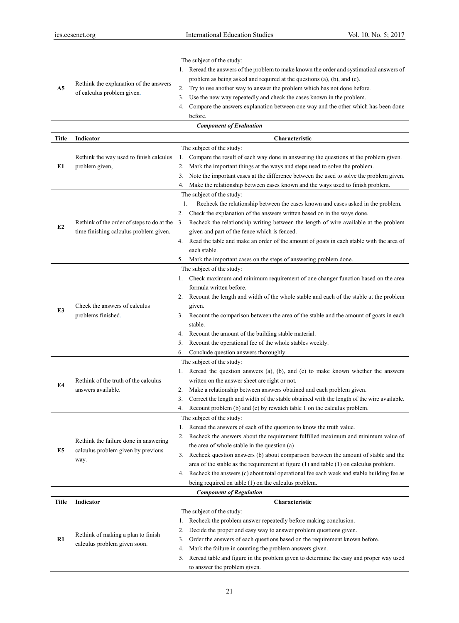|                | Rethink the explanation of the answers                                              | The subject of the study:<br>1. Reread the answers of the problem to make known the order and systimatical answers of<br>problem as being asked and required at the questions (a), (b), and (c). |
|----------------|-------------------------------------------------------------------------------------|--------------------------------------------------------------------------------------------------------------------------------------------------------------------------------------------------|
| A5             |                                                                                     | Try to use another way to answer the problem which has not done before.<br>2.                                                                                                                    |
|                | of calculus problem given.                                                          | Use the new way repeatedly and check the cases known in the problem.<br>3.                                                                                                                       |
|                |                                                                                     | 4. Compare the answers explanation between one way and the other which has been done                                                                                                             |
|                |                                                                                     | before.                                                                                                                                                                                          |
|                |                                                                                     | <b>Component of Evaluation</b>                                                                                                                                                                   |
| Title          | Indicator                                                                           | Characteristic                                                                                                                                                                                   |
|                |                                                                                     | The subject of the study:                                                                                                                                                                        |
|                | Rethink the way used to finish calculus<br>problem given,                           | Compare the result of each way done in answering the questions at the problem given.<br>1.                                                                                                       |
| E1             |                                                                                     | Mark the important things at the ways and steps used to solve the problem.<br>2.                                                                                                                 |
|                |                                                                                     | 3. Note the important cases at the difference between the used to solve the problem given.<br>4.                                                                                                 |
|                |                                                                                     | Make the relationship between cases known and the ways used to finish problem.<br>The subject of the study:                                                                                      |
|                |                                                                                     | Recheck the relationship between the cases known and cases asked in the problem.<br>1.                                                                                                           |
|                |                                                                                     | 2. Check the explanation of the answers written based on in the ways done.                                                                                                                       |
|                | Rethink of the order of steps to do at the                                          | Recheck the relationship writing between the length of wire available at the problem<br>3.                                                                                                       |
| E <sub>2</sub> | time finishing calculus problem given.                                              | given and part of the fence which is fenced.                                                                                                                                                     |
|                |                                                                                     | 4. Read the table and make an order of the amount of goats in each stable with the area of                                                                                                       |
|                |                                                                                     | each stable.                                                                                                                                                                                     |
|                |                                                                                     | Mark the important cases on the steps of answering problem done.                                                                                                                                 |
|                |                                                                                     | The subject of the study:                                                                                                                                                                        |
|                |                                                                                     | Check maximum and minimum requirement of one changer function based on the area<br>1.<br>formula written before.                                                                                 |
|                |                                                                                     | Recount the length and width of the whole stable and each of the stable at the problem<br>2.                                                                                                     |
|                | Check the answers of calculus                                                       | given.                                                                                                                                                                                           |
| E3             | problems finished.                                                                  | 3. Recount the comparison between the area of the stable and the amount of goats in each                                                                                                         |
|                |                                                                                     | stable.                                                                                                                                                                                          |
|                |                                                                                     | Recount the amount of the building stable material.<br>4.                                                                                                                                        |
|                |                                                                                     | Recount the operational fee of the whole stables weekly.<br>5.                                                                                                                                   |
|                |                                                                                     | Conclude question answers thoroughly.<br>6.                                                                                                                                                      |
|                |                                                                                     | The subject of the study:                                                                                                                                                                        |
|                |                                                                                     | 1. Reread the question answers (a), (b), and (c) to make known whether the answers                                                                                                               |
| E4             | Rethink of the truth of the calculus<br>answers available.                          | written on the answer sheet are right or not.<br>Make a relationship between answers obtained and each problem given.<br>2.                                                                      |
|                |                                                                                     | 3.<br>Correct the length and width of the stable obtained with the length of the wire available.                                                                                                 |
|                |                                                                                     | Recount problem (b) and (c) by rewatch table 1 on the calculus problem.                                                                                                                          |
|                |                                                                                     | The subject of the study:                                                                                                                                                                        |
|                |                                                                                     | 1. Reread the answers of each of the question to know the truth value.                                                                                                                           |
|                | Rethink the failure done in answering<br>calculus problem given by previous<br>way. | Recheck the answers about the requirement fulfilled maximum and minimum value of<br>2.                                                                                                           |
| E5             |                                                                                     | the area of whole stable in the question (a)                                                                                                                                                     |
|                |                                                                                     | Recheck question answers (b) about comparison between the amount of stable and the<br>3.                                                                                                         |
|                |                                                                                     | area of the stable as the requirement at figure (1) and table (1) on calculus problem.                                                                                                           |
|                |                                                                                     | 4. Recheck the answers (c) about total operational fee each week and stable building fee as                                                                                                      |
|                |                                                                                     | being required on table (1) on the calculus problem.<br><b>Component of Regulation</b>                                                                                                           |
| Title          | Indicator                                                                           | Characteristic                                                                                                                                                                                   |
|                |                                                                                     | The subject of the study:                                                                                                                                                                        |
|                |                                                                                     | Recheck the problem answer repeatedly before making conclusion.<br>1.                                                                                                                            |
|                |                                                                                     | Decide the proper and easy way to answer problem questions given.<br>2.                                                                                                                          |
| R1             | Rethink of making a plan to finish<br>calculus problem given soon.                  | Order the answers of each questions based on the requirement known before.<br>3.                                                                                                                 |
|                |                                                                                     | Mark the failure in counting the problem answers given.<br>4.                                                                                                                                    |
|                |                                                                                     | Reread table and figure in the problem given to determine the easy and proper way used<br>5.                                                                                                     |
|                |                                                                                     | to answer the problem given.                                                                                                                                                                     |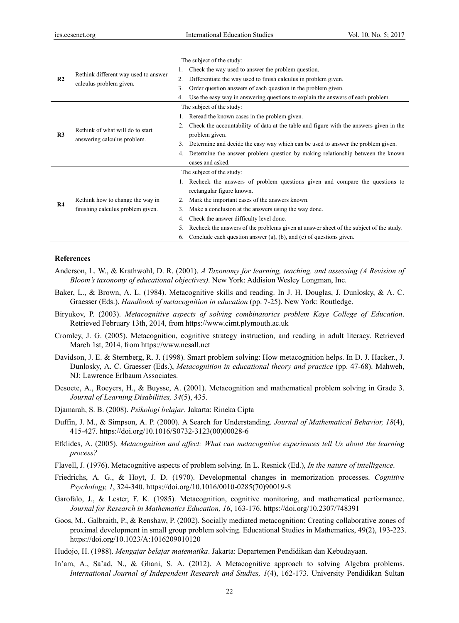|                |                                                                 | The subject of the study:                                                                    |  |  |  |
|----------------|-----------------------------------------------------------------|----------------------------------------------------------------------------------------------|--|--|--|
| R <sub>2</sub> | Rethink different way used to answer<br>calculus problem given. | Check the way used to answer the problem question.<br>1.                                     |  |  |  |
|                |                                                                 | Differentiate the way used to finish calculus in problem given.<br>2.                        |  |  |  |
|                |                                                                 | Order question answers of each question in the problem given.<br>3.                          |  |  |  |
|                |                                                                 | Use the easy way in answering questions to explain the answers of each problem.<br>4.        |  |  |  |
|                | Rethink of what will do to start<br>answering calculus problem. | The subject of the study:                                                                    |  |  |  |
| R <sub>3</sub> |                                                                 | Reread the known cases in the problem given.                                                 |  |  |  |
|                |                                                                 | Check the accountability of data at the table and figure with the answers given in the<br>2. |  |  |  |
|                |                                                                 | problem given.                                                                               |  |  |  |
|                |                                                                 | Determine and decide the easy way which can be used to answer the problem given.<br>3.       |  |  |  |
|                |                                                                 | Determine the answer problem question by making relationship between the known<br>4.         |  |  |  |
|                |                                                                 | cases and asked.                                                                             |  |  |  |
|                |                                                                 | The subject of the study:                                                                    |  |  |  |
|                |                                                                 | Recheck the answers of problem questions given and compare the questions to                  |  |  |  |
|                |                                                                 | rectangular figure known.                                                                    |  |  |  |
|                | Rethink how to change the way in                                | Mark the important cases of the answers known.<br>2.                                         |  |  |  |
| R4             | finishing calculus problem given.                               | Make a conclusion at the answers using the way done.<br>3.                                   |  |  |  |
|                |                                                                 | Check the answer difficulty level done.<br>4.                                                |  |  |  |
|                |                                                                 | Recheck the answers of the problems given at answer sheet of the subject of the study.<br>5. |  |  |  |
|                |                                                                 | Conclude each question answer $(a)$ , $(b)$ , and $(c)$ of questions given.<br>6.            |  |  |  |

#### **References**

- Anderson, L. W., & Krathwohl, D. R. (2001). *A Taxonomy for learning, teaching, and assessing (A Revision of Bloom's taxonomy of educational objectives)*. New York: Addision Wesley Longman, Inc.
- Baker, L., & Brown, A. L. (1984). Metacognitive skills and reading. In J. H. Douglas, J. Dunlosky, & A. C. Graesser (Eds.), *Handbook of metacognition in education* (pp. 7-25). New York: Routledge.
- Biryukov, P. (2003). *Metacognitive aspects of solving combinatorics problem Kaye College of Education*. Retrieved February 13th, 2014, from https://www.cimt.plymouth.ac.uk
- Cromley, J. G. (2005). Metacognition, cognitive strategy instruction, and reading in adult literacy. Retrieved March 1st, 2014, from https://www.ncsall.net
- Davidson, J. E. & Sternberg, R. J. (1998). Smart problem solving: How metacognition helps. In D. J. Hacker., J. Dunlosky, A. C. Graesser (Eds.), *Metacognition in educational theory and practice* (pp. 47-68). Mahweh, NJ: Lawrence Erlbaum Associates.
- Desoete, A., Roeyers, H., & Buysse, A. (2001). Metacognition and mathematical problem solving in Grade 3. *Journal of Learning Disabilities, 34*(5), 435.
- Djamarah, S. B. (2008). *Psikologi belajar*. Jakarta: Rineka Cipta
- Duffin, J. M., & Simpson, A. P. (2000). A Search for Understanding. *Journal of Mathematical Behavior, 18*(4), 415-427. https://doi.org/10.1016/S0732-3123(00)00028-6
- Efklides, A. (2005). *Metacognition and affect: What can metacognitive experiences tell Us about the learning process?*
- Flavell, J. (1976). Metacognitive aspects of problem solving. In L. Resnick (Ed.), *In the nature of intelligence*.
- Friedrichs, A. G., & Hoyt, J. D. (1970). Developmental changes in memorization processes. *Cognitive Psychology, 1*, 324-340. https://doi.org/10.1016/0010-0285(70)90019-8
- Garofalo, J., & Lester, F. K. (1985). Metacognition, cognitive monitoring, and mathematical performance. *Journal for Research in Mathematics Education, 16*, 163-176. https://doi.org/10.2307/748391
- Goos, M., Galbraith, P., & Renshaw, P. (2002). Socially mediated metacognition: Creating collaborative zones of proximal development in small group problem solving. Educational Studies in Mathematics, 49(2), 193-223. https://doi.org/10.1023/A:1016209010120
- Hudojo, H. (1988). *Mengajar belajar matematika*. Jakarta: Departemen Pendidikan dan Kebudayaan.
- In'am, A., Sa'ad, N., & Ghani, S. A. (2012). A Metacognitive approach to solving Algebra problems. *International Journal of Independent Research and Studies, 1*(4), 162-173. University Pendidikan Sultan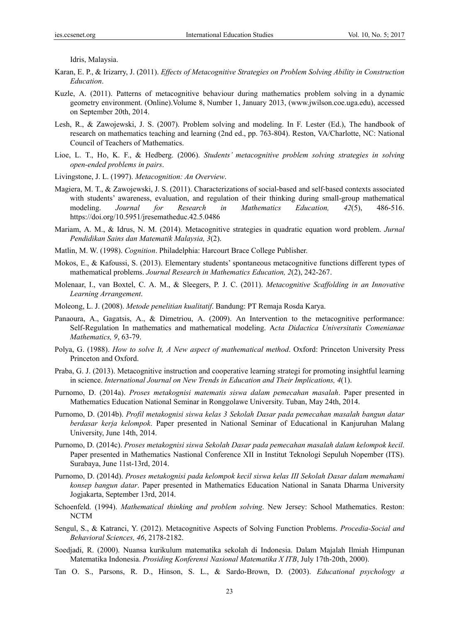Idris, Malaysia.

- Karan, E. P., & Irizarry, J. (2011). *Effects of Metacognitive Strategies on Problem Solving Ability in Construction Education*.
- Kuzle, A. (2011). Patterns of metacognitive behaviour during mathematics problem solving in a dynamic geometry environment. (Online).Volume 8, Number 1, January 2013, (www.jwilson.coe.uga.edu), accessed on September 20th, 2014.
- Lesh, R., & Zawojewski, J. S. (2007). Problem solving and modeling. In F. Lester (Ed.), The handbook of research on mathematics teaching and learning (2nd ed., pp. 763-804). Reston, VA/Charlotte, NC: National Council of Teachers of Mathematics.
- Lioe, L. T., Ho, K. F., & Hedberg. (2006). *Students' metacognitive problem solving strategies in solving open-ended problems in pairs*.
- Livingstone, J. L. (1997). *Metacognition: An Overview*.
- Magiera, M. T., & Zawojewski, J. S. (2011). Characterizations of social-based and self-based contexts associated with students' awareness, evaluation, and regulation of their thinking during small-group mathematical modeling. *Journal for Research in Mathematics Education, 42*(5), 486-516. https://doi.org/10.5951/jresematheduc.42.5.0486
- Mariam, A. M., & Idrus, N. M. (2014). Metacognitive strategies in quadratic equation word problem. *Jurnal Pendidikan Sains dan Matematik Malaysia, 3*(2).
- Matlin, M. W. (1998). *Cognition*. Philadelphia: Harcourt Brace College Publisher.
- Mokos, E., & Kafoussi, S. (2013). Elementary students' spontaneous metacognitive functions different types of mathematical problems. *Journal Research in Mathematics Education, 2*(2), 242-267.
- Molenaar, I., van Boxtel, C. A. M., & Sleegers, P. J. C. (2011). *Metacognitive Scaffolding in an Innovative Learning Arrangement*.
- Moleong, L. J. (2008). *Metode penelitian kualitatif*. Bandung: PT Remaja Rosda Karya.
- Panaoura, A., Gagatsis, A., & Dimetriou, A. (2009). An Intervention to the metacognitive performance: Self-Regulation In mathematics and mathematical modeling. A*cta Didactica Universitatis Comenianae Mathematics, 9*, 63-79.
- Polya, G. (1988). *How to solve It, A New aspect of mathematical method*. Oxford: Princeton University Press Princeton and Oxford.
- Praba, G. J. (2013). Metacognitive instruction and cooperative learning strategi for promoting insightful learning in science. *International Journal on New Trends in Education and Their Implications, 4*(1).
- Purnomo, D. (2014a). *Proses metakognisi matematis siswa dalam pemecahan masalah*. Paper presented in Mathematics Education National Seminar in Ronggolawe University. Tuban, May 24th, 2014.
- Purnomo, D. (2014b). *Profil metakognisi siswa kelas 3 Sekolah Dasar pada pemecahan masalah bangun datar berdasar kerja kelompok*. Paper presented in National Seminar of Educational in Kanjuruhan Malang University, June 14th, 2014.
- Purnomo, D. (2014c). *Proses metakognisi siswa Sekolah Dasar pada pemecahan masalah dalam kelompok kecil*. Paper presented in Mathematics Nastional Conference XII in Institut Teknologi Sepuluh Nopember (ITS). Surabaya, June 11st-13rd, 2014.
- Purnomo, D. (2014d). *Proses metakognisi pada kelompok kecil siswa kelas III Sekolah Dasar dalam memahami konsep bangun datar*. Paper presented in Mathematics Education National in Sanata Dharma University Jogjakarta, September 13rd, 2014.
- Schoenfeld. (1994). *Mathematical thinking and problem solving*. New Jersey: School Mathematics. Reston: NCTM
- Sengul, S., & Katranci, Y. (2012). Metacognitive Aspects of Solving Function Problems. *Procedia-Social and Behavioral Sciences, 46*, 2178-2182.
- Soedjadi, R. (2000). Nuansa kurikulum matematika sekolah di Indonesia. Dalam Majalah Ilmiah Himpunan Matematika Indonesia. *Prosiding Konferensi Nasional Matematika X ITB*, July 17th-20th, 2000).
- Tan O. S., Parsons, R. D., Hinson, S. L., & Sardo-Brown, D. (2003). *Educational psychology a*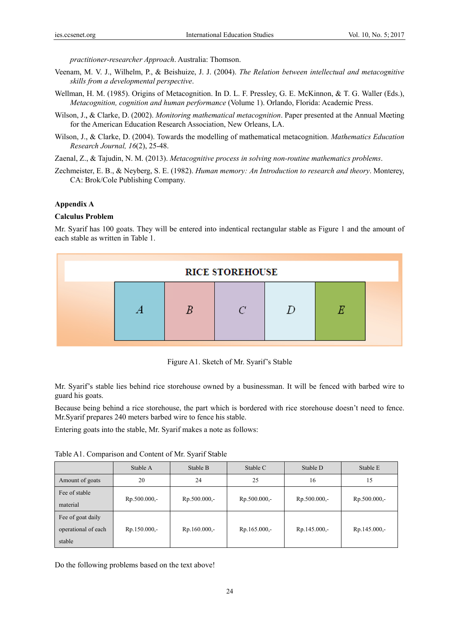practitioner-researcher Approach. Australia: Thomson.

- Veenam, M. V. J., Wilhelm, P., & Beishuize, J. J. (2004). The Relation between intellectual and metacognitive skills from a developmental perspective.
- Wellman, H. M. (1985). Origins of Metacognition. In D. L. F. Pressley. G. E. McKinnon. & T. G. Waller (Eds.). Metacognition, cognition and human performance (Volume 1). Orlando, Florida: Academic Press.
- Wilson, J., & Clarke, D. (2002). Monitoring mathematical metacognition. Paper presented at the Annual Meeting for the American Education Research Association, New Orleans, LA.
- Wilson, J., & Clarke, D. (2004). Towards the modelling of mathematical metacognition. Mathematics Education Research Journal, 16(2), 25-48.

Zaenal, Z., & Tajudin, N. M. (2013). Metacognitive process in solving non-routine mathematics problems.

Zechmeister, E. B., & Neyberg, S. E. (1982). Human memory: An Introduction to research and theory. Monterey, CA: Brok/Cole Publishing Company.

#### **Appendix A**

#### **Calculus Problem**

Mr. Syarif has 100 goats. They will be entered into indentical rectangular stable as Figure 1 and the amount of each stable as written in Table 1.



Figure A1. Sketch of Mr. Syarif's Stable

Mr. Syarif's stable lies behind rice storehouse owned by a businessman. It will be fenced with barbed wire to guard his goats.

Because being behind a rice storehouse, the part which is bordered with rice storehouse doesn't need to fence. Mr. Syarif prepares 240 meters barbed wire to fence his stable.

Entering goats into the stable, Mr. Syarif makes a note as follows:

Table A1. Comparison and Content of Mr. Syarif Stable

|                                                    | Stable A        | Stable B        | Stable C       | Stable D     | Stable E        |
|----------------------------------------------------|-----------------|-----------------|----------------|--------------|-----------------|
| Amount of goats                                    | 20              | 24              |                | 16           | 15              |
| Fee of stable<br>material                          | Rp.500.000      | Rp.500.000,-    | Rp.500.000     | Rp.500.000,- | Rp.500.000      |
| Fee of goat daily<br>operational of each<br>stable | $Rp.150.000$ ,- | $Rp.160.000$ ,- | $Rp.165.000 -$ | Rp.145.000,- | $Rp.145.000$ ,- |

Do the following problems based on the text above!